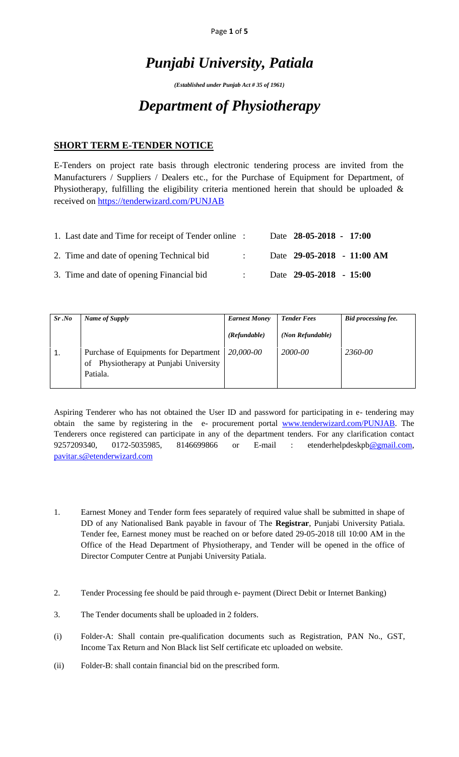Page **1** of **5**

# *Punjabi University, Patiala*

*(Established under Punjab Act # 35 of 1961)*

# *Department of Physiotherapy*

### **SHORT TERM E-TENDER NOTICE**

E-Tenders on project rate basis through electronic tendering process are invited from the Manufacturers / Suppliers / Dealers etc., for the Purchase of Equipment for Department, of Physiotherapy, fulfilling the eligibility criteria mentioned herein that should be uploaded  $\&$ received on<https://tenderwizard.com/PUNJAB>

| 1. Last date and Time for receipt of Tender online : |  | Date 28-05-2018 - 17:00    |  |
|------------------------------------------------------|--|----------------------------|--|
| 2. Time and date of opening Technical bid            |  | Date 29-05-2018 - 11:00 AM |  |
| 3. Time and date of opening Financial bid            |  | Date $29-05-2018 - 15:00$  |  |

| Sr.No | Name of Supply                                                                              | <b>Earnest Money</b> | <b>Tender Fees</b> | <b>Bid processing fee.</b> |
|-------|---------------------------------------------------------------------------------------------|----------------------|--------------------|----------------------------|
|       |                                                                                             | (Refundable)         | (Non Refundable)   |                            |
|       | Purchase of Equipments for Department<br>of Physiotherapy at Punjabi University<br>Patiala. | 20,000-00            | 2000-00            | 2360-00                    |

Aspiring Tenderer who has not obtained the User ID and password for participating in e- tendering may obtain the same by registering in the e- procurement portal [www.tenderwizard.com/PUNJAB.](http://www.tenderwizard.com/PUNJAB) The Tenderers once registered can participate in any of the department tenders. For any clarification contact 9257209340, 0172-5035985, 8146699866 or E-mail : etenderhelpdeskp[b@gmail.com,](mailto:@gmail.com) [pavitar.s@etenderwizard.com](mailto:pavitar.s@etenderwizard.com)

- 1. Earnest Money and Tender form fees separately of required value shall be submitted in shape of DD of any Nationalised Bank payable in favour of The **Registrar**, Punjabi University Patiala. Tender fee, Earnest money must be reached on or before dated 29-05-2018 till 10:00 AM in the Office of the Head Department of Physiotherapy, and Tender will be opened in the office of Director Computer Centre at Punjabi University Patiala.
- 2. Tender Processing fee should be paid through e- payment (Direct Debit or Internet Banking)
- 3. The Tender documents shall be uploaded in 2 folders.
- (i) Folder-A: Shall contain pre-qualification documents such as Registration, PAN No., GST, Income Tax Return and Non Black list Self certificate etc uploaded on website.
- (ii) Folder-B: shall contain financial bid on the prescribed form.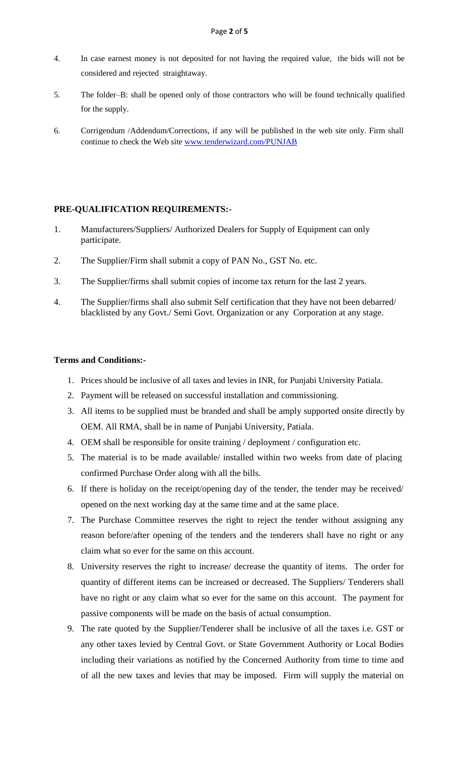- 4. In case earnest money is not deposited for not having the required value, the bids will not be considered and rejected straightaway.
- 5. The folder–B: shall be opened only of those contractors who will be found technically qualified for the supply.
- 6. Corrigendum /Addendum/Corrections, if any will be published in the web site only. Firm shall continue to check the Web site [www.tenderwizard.com/PUNJAB](http://www.tenderwizard.com/PUNJAB)

#### **PRE-QUALIFICATION REQUIREMENTS:-**

- 1. Manufacturers/Suppliers/ Authorized Dealers for Supply of Equipment can only participate.
- 2. The Supplier/Firm shall submit a copy of PAN No., GST No. etc.
- 3. The Supplier/firms shall submit copies of income tax return for the last 2 years.
- 4. The Supplier/firms shall also submit Self certification that they have not been debarred/ blacklisted by any Govt./ Semi Govt. Organization or any Corporation at any stage.

#### **Terms and Conditions:-**

- 1. Prices should be inclusive of all taxes and levies in INR, for Punjabi University Patiala.
- 2. Payment will be released on successful installation and commissioning.
- 3. All items to be supplied must be branded and shall be amply supported onsite directly by OEM. All RMA, shall be in name of Punjabi University, Patiala.
- 4. OEM shall be responsible for onsite training / deployment / configuration etc.
- 5. The material is to be made available/ installed within two weeks from date of placing confirmed Purchase Order along with all the bills.
- 6. If there is holiday on the receipt/opening day of the tender, the tender may be received/ opened on the next working day at the same time and at the same place.
- 7. The Purchase Committee reserves the right to reject the tender without assigning any reason before/after opening of the tenders and the tenderers shall have no right or any claim what so ever for the same on this account.
- 8. University reserves the right to increase/ decrease the quantity of items. The order for quantity of different items can be increased or decreased. The Suppliers/ Tenderers shall have no right or any claim what so ever for the same on this account. The payment for passive components will be made on the basis of actual consumption.
- 9. The rate quoted by the Supplier/Tenderer shall be inclusive of all the taxes i.e. GST or any other taxes levied by Central Govt. or State Government Authority or Local Bodies including their variations as notified by the Concerned Authority from time to time and of all the new taxes and levies that may be imposed. Firm will supply the material on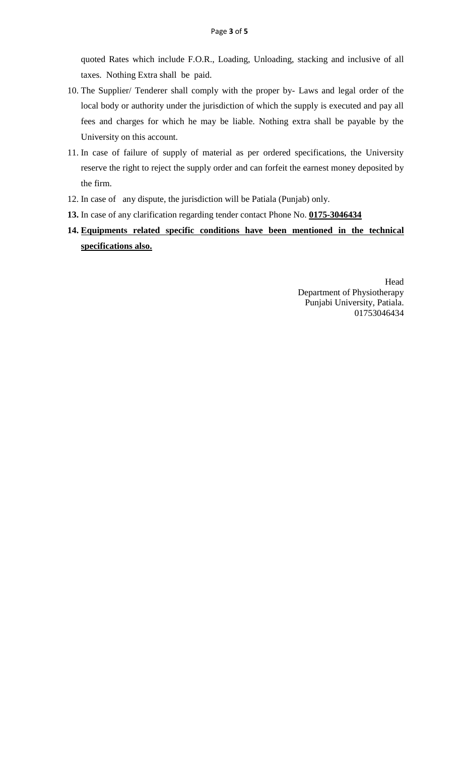quoted Rates which include F.O.R., Loading, Unloading, stacking and inclusive of all taxes. Nothing Extra shall be paid.

- 10. The Supplier/ Tenderer shall comply with the proper by- Laws and legal order of the local body or authority under the jurisdiction of which the supply is executed and pay all fees and charges for which he may be liable. Nothing extra shall be payable by the University on this account.
- 11. In case of failure of supply of material as per ordered specifications, the University reserve the right to reject the supply order and can forfeit the earnest money deposited by the firm.
- 12. In case of any dispute, the jurisdiction will be Patiala (Punjab) only.
- **13.** In case of any clarification regarding tender contact Phone No. **0175-3046434**
- **14. Equipments related specific conditions have been mentioned in the technical specifications also.**

Head Department of Physiotherapy Punjabi University, Patiala. 01753046434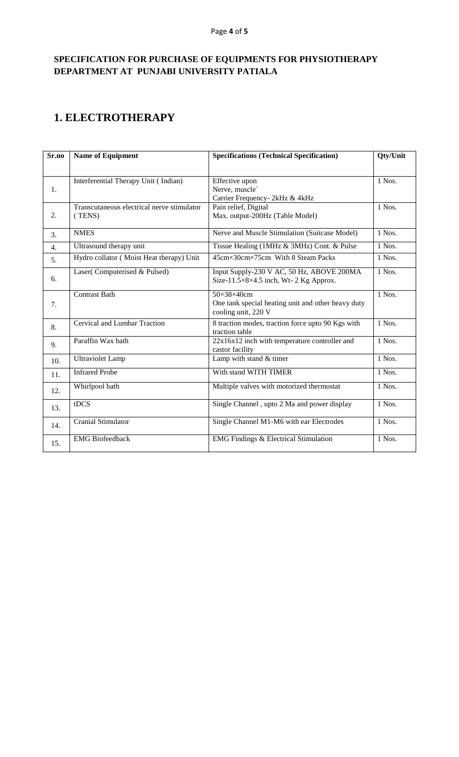### **SPECIFICATION FOR PURCHASE OF EQUIPMENTS FOR PHYSIOTHERAPY DEPARTMENT AT PUNJABI UNIVERSITY PATIALA**

### **1. ELECTROTHERAPY**

| Sr.no | <b>Name of Equipment</b>                             | <b>Specifications (Technical Specification)</b>                                         | Qty/Unit |
|-------|------------------------------------------------------|-----------------------------------------------------------------------------------------|----------|
|       |                                                      |                                                                                         |          |
| 1.    | Interferential Therapy Unit (Indian)                 | Effective upon<br>Nerve, muscle`<br>Carrier Frequency- 2kHz & 4kHz                      | 1 Nos.   |
| 2.    | Transcutaneous electrical nerve stimulator<br>(TENS) | Pain relief, Digital<br>Max. output-200Hz (Table Model)                                 | 1 Nos.   |
| 3.    | <b>NMES</b>                                          | Nerve and Muscle Stimulation (Suitcase Model)                                           | 1 Nos.   |
| 4.    | Ultrasound therapy unit                              | Tissue Healing (1MHz & 3MHz) Cont. & Pulse                                              | 1 Nos.   |
| 5.    | Hydro collator (Moist Heat therapy) Unit             | 45cm×30cm×75cm With 8 Steam Packs                                                       | 1 Nos.   |
| 6.    | Laser(Computerised & Pulsed)                         | Input Supply-230 V AC, 50 Hz, ABOVE 200MA<br>Size-11.5×8×4.5 inch, Wt- 2 Kg Approx.     | $1$ Nos. |
| 7.    | <b>Contrast Bath</b>                                 | 50×38×40cm<br>One tank special heating unit and other heavy duty<br>cooling unit, 220 V | 1 Nos.   |
| 8.    | Cervical and Lumbar Traction                         | 8 traction modes, traction force upto 90 Kgs with<br>traction table                     | $1$ Nos. |
| 9.    | Paraffin Wax bath                                    | $22x16x12$ inch with temperature controller and<br>castor facility                      | 1 Nos.   |
| 10.   | Ultraviolet Lamp                                     | Lamp with stand & timer                                                                 | $1$ Nos. |
| 11.   | <b>Infrared Probe</b>                                | With stand WITH TIMER                                                                   | 1 Nos.   |
| 12.   | Whirlpool bath                                       | Multiple valves with motorized thermostat                                               | 1 Nos.   |
| 13.   | tDCS                                                 | Single Channel, upto 2 Ma and power display                                             | 1 Nos.   |
| 14.   | <b>Cranial Stimulator</b>                            | Single Channel M1-M6 with ear Electrodes                                                | 1 Nos.   |
| 15.   | <b>EMG</b> Biofeedback                               | <b>EMG Findings &amp; Electrical Stimulation</b>                                        | 1 Nos.   |